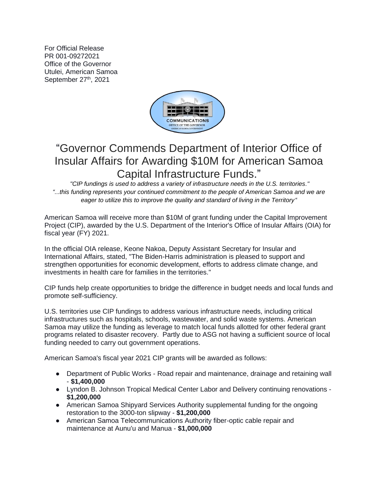For Official Release PR 001-09272021 Office of the Governor Utulei, American Samoa September 27<sup>th</sup>, 2021



## "Governor Commends Department of Interior Office of Insular Affairs for Awarding \$10M for American Samoa Capital Infrastructure Funds."

*"CIP fundings is used to address a variety of infrastructure needs in the U.S. territories." "...this funding represents your continued commitment to the people of American Samoa and we are eager to utilize this to improve the quality and standard of living in the Territory"*

American Samoa will receive more than \$10M of grant funding under the Capital Improvement Project (CIP), awarded by the U.S. Department of the Interior's Office of Insular Affairs (OIA) for fiscal year (FY) 2021.

In the official OIA release, Keone Nakoa, Deputy Assistant Secretary for Insular and International Affairs, stated, "The Biden-Harris administration is pleased to support and strengthen opportunities for economic development, efforts to address climate change, and investments in health care for families in the territories."

CIP funds help create opportunities to bridge the difference in budget needs and local funds and promote self-sufficiency.

U.S. territories use CIP fundings to address various infrastructure needs, including critical infrastructures such as hospitals, schools, wastewater, and solid waste systems. American Samoa may utilize the funding as leverage to match local funds allotted for other federal grant programs related to disaster recovery. Partly due to ASG not having a sufficient source of local funding needed to carry out government operations.

American Samoa's fiscal year 2021 CIP grants will be awarded as follows:

- Department of Public Works Road repair and maintenance, drainage and retaining wall - **\$1,400,000**
- Lyndon B. Johnson Tropical Medical Center Labor and Delivery continuing renovations **\$1,200,000**
- American Samoa Shipyard Services Authority supplemental funding for the ongoing restoration to the 3000-ton slipway - **\$1,200,000**
- American Samoa Telecommunications Authority fiber-optic cable repair and maintenance at Aunu'u and Manua - **\$1,000,000**